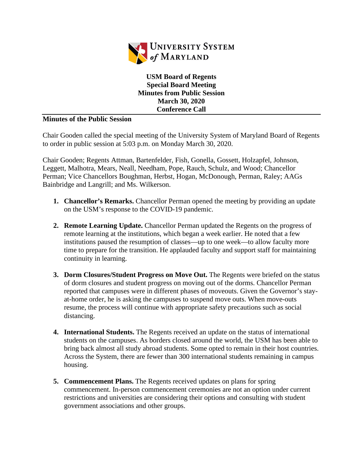

**USM Board of Regents Special Board Meeting Minutes from Public Session March 30, 2020 Conference Call**

## **Minutes of the Public Session**

Chair Gooden called the special meeting of the University System of Maryland Board of Regents to order in public session at 5:03 p.m. on Monday March 30, 2020.

Chair Gooden; Regents Attman, Bartenfelder, Fish, Gonella, Gossett, Holzapfel, Johnson, Leggett, Malhotra, Mears, Neall, Needham, Pope, Rauch, Schulz, and Wood; Chancellor Perman; Vice Chancellors Boughman, Herbst, Hogan, McDonough, Perman, Raley; AAGs Bainbridge and Langrill; and Ms. Wilkerson.

- **1. Chancellor's Remarks.** Chancellor Perman opened the meeting by providing an update on the USM's response to the COVID-19 pandemic.
- **2. Remote Learning Update.** Chancellor Perman updated the Regents on the progress of remote learning at the institutions, which began a week earlier. He noted that a few institutions paused the resumption of classes—up to one week—to allow faculty more time to prepare for the transition. He applauded faculty and support staff for maintaining continuity in learning.
- **3. Dorm Closures/Student Progress on Move Out.** The Regents were briefed on the status of dorm closures and student progress on moving out of the dorms. Chancellor Perman reported that campuses were in different phases of moveouts. Given the Governor's stayat-home order, he is asking the campuses to suspend move outs. When move-outs resume, the process will continue with appropriate safety precautions such as social distancing.
- **4. International Students.** The Regents received an update on the status of international students on the campuses. As borders closed around the world, the USM has been able to bring back almost all study abroad students. Some opted to remain in their host countries. Across the System, there are fewer than 300 international students remaining in campus housing.
- **5. Commencement Plans.** The Regents received updates on plans for spring commencement. In-person commencement ceremonies are not an option under current restrictions and universities are considering their options and consulting with student government associations and other groups.